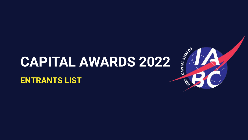## **CAPITAL AWARDS 2022**

#### **ENTRANTS LIST**

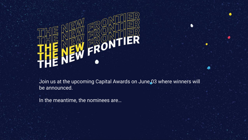

Join us at the upcoming Capital Awards on June 03 where winners will be announced.

٠

A

In the meantime, the nominees are…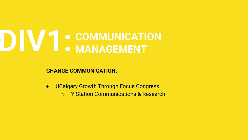**CHANGE COMMUNICATION:** 

- UCalgary Growth Through Focus Congress
	- Y Station Communications & Research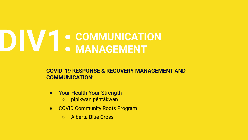#### **COVID-19 RESPONSE & RECOVERY MANAGEMENT AND COMMUNICATION:**

- **Prophendial Your Strength** 
	- pipikwan pêhtâkwan
- COVID Community Roots Program
	- Alberta Blue Cross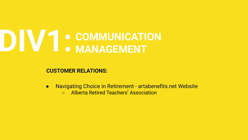**CUSTOMER RELATIONS:** 

- Navigating Choice in Retirement artabenefits.net Website
	- Alberta Retired Teachers' Association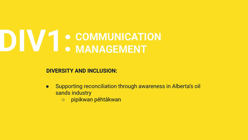**DIVERSITY AND INCLUSION:** 

- Supporting reconciliation through awareness in Alberta's oil sands industry
	- pipikwan pêhtâkwan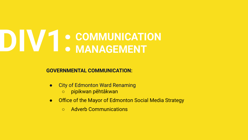**GOVERNMENTAL COMMUNICATION:** 

- **City of Edmonton Ward Renaming** 
	- pipikwan pêhtâkwan
- Office of the Mayor of Edmonton Social Media Strategy
	- Adverb Communications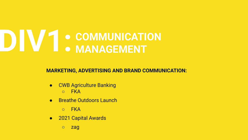**MARKETING, ADVERTISING AND BRAND COMMUNICATION:**

- **CWB Agriculture Banking** ○ FKA
- **Breathe Outdoors Launch** 
	- FKA
- **2021 Capital Awards** 
	- zag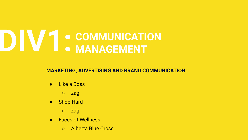**MARKETING, ADVERTISING AND BRAND COMMUNICATION:** 

- **Like a Boss** 
	- zag
- **Shop Hard** 
	- zag
- **Eaces of Wellness** 
	- Alberta Blue Cross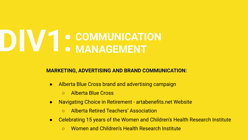#### **MARKETING, ADVERTISING AND BRAND COMMUNICATION:**

- Alberta Blue Cross brand and advertising campaign
	- Alberta Blue Cross
- Navigating Choice in Retirement artabenefits.net Website
	- Alberta Retired Teachers' Association
- Celebrating 15 years of the Women and Children's Health Research Institute
	- Women and Children's Health Research Institute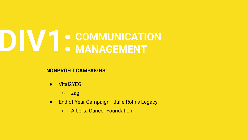**NONPROFIT CAMPAIGNS:** 

- Vital2YEG
	- zag
- End of Year Campaign Julie Rohr's Legacy
	- Alberta Cancer Foundation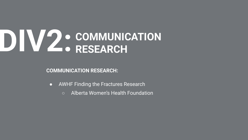## DIV2. COMMUNICATION **RESEARCH**

**COMMUNICATION RESEARCH:** 

- AWHF Finding the Fractures Research
	- Alberta Women's Health Foundation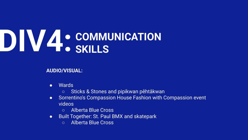#### **AUDIO/VISUAL:**

- Wards
	- Sticks & Stones and pipikwan pêhtâkwan
- Sorrentino's Compassion House Fashion with Compassion event videos
	- Alberta Blue Cross
- Built Together: St. Paul BMX and skatepark
	- Alberta Blue Cross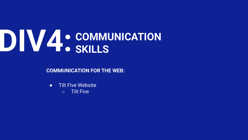**COMMUNICATION FOR THE WEB:** 

● Tilt Five Website ○ Tilt Five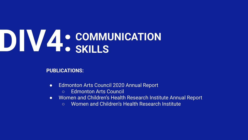#### **PUBLICATIONS:**

- Edmonton Arts Council 2020 Annual Report
	- Edmonton Arts Council
- Women and Children's Health Research Institute Annual Report
	- Women and Children's Health Research Institute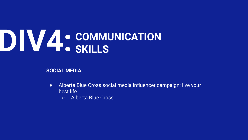**SOCIAL MEDIA:** 

- Alberta Blue Cross social media influencer campaign: live your best life
	- Alberta Blue Cross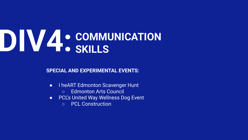**SPECIAL AND EXPERIMENTAL EVENTS:** 

- I heART Edmonton Scavenger Hunt
	- Edmonton Arts Council
- PCL's United Way Wellness Dog Event
	- PCL Construction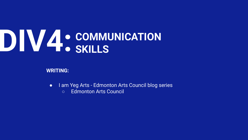**WRITING:** 

- I am Yeg Arts Edmonton Arts Council blog series
	- Edmonton Arts Council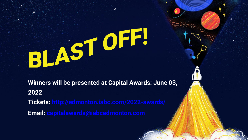# BLAST OFF.

**Winners will be presented at Capital Awards: June 03, 2022 Tickets: <http://edmonton.iabc.com/2022-awards/> Email: [capitalawards@iabcedmonton.com](mailto:capitalawards@iabcedmonton.com)**